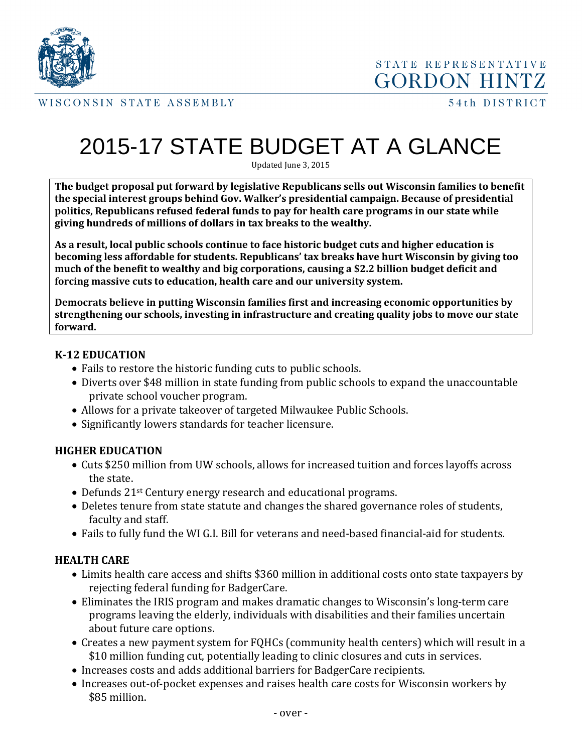

STATE REPRESENTATIVE **GORDON HINTZ** 

WISCONSIN STATE ASSEMBLY

# 2015-17 STATE BUDGET AT A GLANCE

Updated June 3, 2015

**The budget proposal put forward by legislative Republicans sells out Wisconsin families to benefit the special interest groups behind Gov. Walker's presidential campaign. Because of presidential politics, Republicans refused federal funds to pay for health care programs in our state while giving hundreds of millions of dollars in tax breaks to the wealthy.**

**As a result, local public schools continue to face historic budget cuts and higher education is becoming less affordable for students. Republicans' tax breaks have hurt Wisconsin by giving too much of the benefit to wealthy and big corporations, causing a \$2.2 billion budget deficit and forcing massive cuts to education, health care and our university system.**

**Democrats believe in putting Wisconsin families first and increasing economic opportunities by strengthening our schools, investing in infrastructure and creating quality jobs to move our state forward.** 

#### **K-12 EDUCATION**

- Fails to restore the historic funding cuts to public schools.
- Diverts over \$48 million in state funding from public schools to expand the unaccountable private school voucher program.
- Allows for a private takeover of targeted Milwaukee Public Schools.
- Significantly lowers standards for teacher licensure.

## **HIGHER EDUCATION**

- Cuts \$250 million from UW schools, allows for increased tuition and forces layoffs across the state.
- Defunds 21<sup>st</sup> Century energy research and educational programs.
- Deletes tenure from state statute and changes the shared governance roles of students, faculty and staff.
- Fails to fully fund the WI G.I. Bill for veterans and need-based financial-aid for students.

## **HEALTH CARE**

- Limits health care access and shifts \$360 million in additional costs onto state taxpayers by rejecting federal funding for BadgerCare.
- Eliminates the IRIS program and makes dramatic changes to Wisconsin's long-term care programs leaving the elderly, individuals with disabilities and their families uncertain about future care options.
- Creates a new payment system for FQHCs (community health centers) which will result in a \$10 million funding cut, potentially leading to clinic closures and cuts in services.
- Increases costs and adds additional barriers for BadgerCare recipients.
- Increases out-of-pocket expenses and raises health care costs for Wisconsin workers by \$85 million.